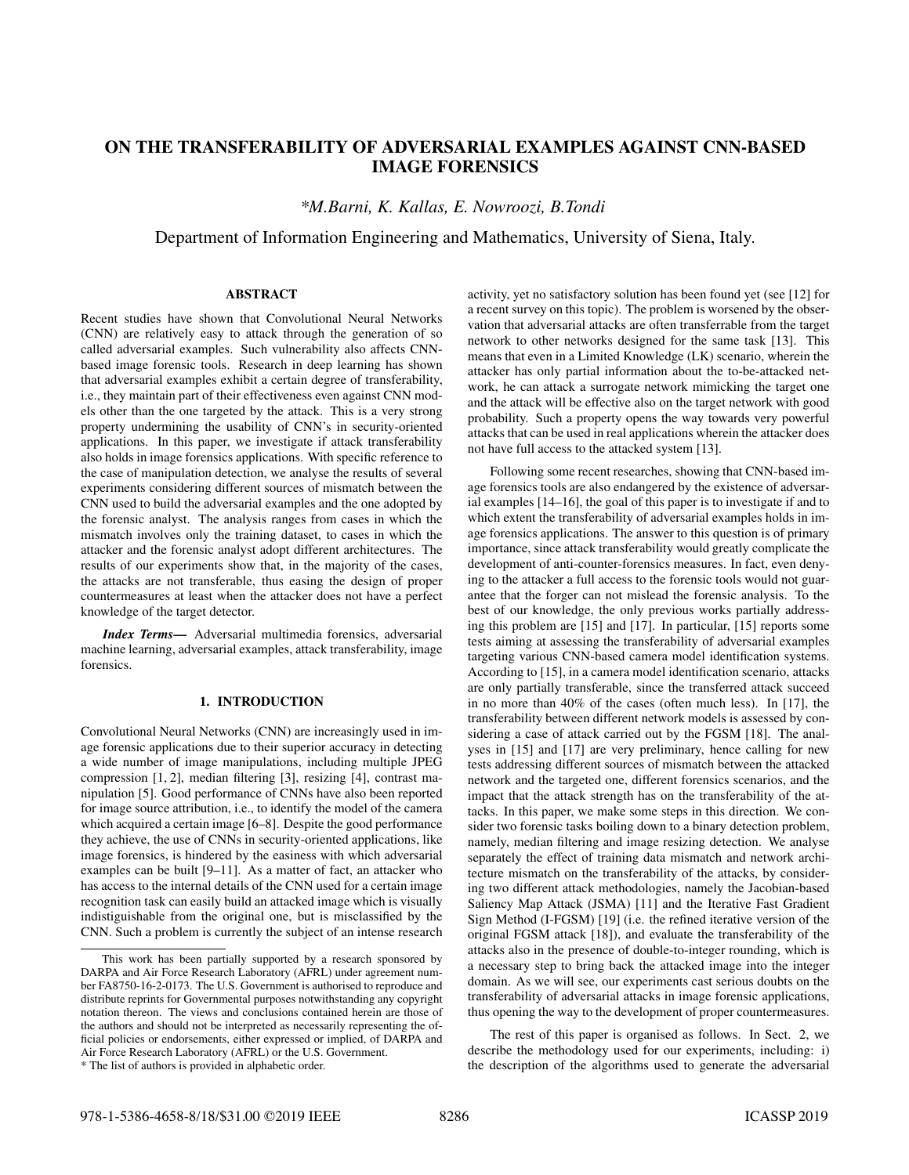# ON THE TRANSFERABILITY OF ADVERSARIAL EXAMPLES AGAINST CNN-BASED IMAGE FORENSICS

*\*M.Barni, K. Kallas, E. Nowroozi, B.Tondi*

Department of Information Engineering and Mathematics, University of Siena, Italy.

# ABSTRACT

Recent studies have shown that Convolutional Neural Networks (CNN) are relatively easy to attack through the generation of so called adversarial examples. Such vulnerability also affects CNNbased image forensic tools. Research in deep learning has shown that adversarial examples exhibit a certain degree of transferability, i.e., they maintain part of their effectiveness even against CNN models other than the one targeted by the attack. This is a very strong property undermining the usability of CNN's in security-oriented applications. In this paper, we investigate if attack transferability also holds in image forensics applications. With specific reference to the case of manipulation detection, we analyse the results of several experiments considering different sources of mismatch between the CNN used to build the adversarial examples and the one adopted by the forensic analyst. The analysis ranges from cases in which the mismatch involves only the training dataset, to cases in which the attacker and the forensic analyst adopt different architectures. The results of our experiments show that, in the majority of the cases, the attacks are not transferable, thus easing the design of proper countermeasures at least when the attacker does not have a perfect knowledge of the target detector.

*Index Terms*— Adversarial multimedia forensics, adversarial machine learning, adversarial examples, attack transferability, image forensics.

# 1. INTRODUCTION

Convolutional Neural Networks (CNN) are increasingly used in image forensic applications due to their superior accuracy in detecting a wide number of image manipulations, including multiple JPEG compression [1, 2], median filtering [3], resizing [4], contrast manipulation [5]. Good performance of CNNs have also been reported for image source attribution, i.e., to identify the model of the camera which acquired a certain image [6–8]. Despite the good performance they achieve, the use of CNNs in security-oriented applications, like image forensics, is hindered by the easiness with which adversarial examples can be built [9–11]. As a matter of fact, an attacker who has access to the internal details of the CNN used for a certain image recognition task can easily build an attacked image which is visually indistiguishable from the original one, but is misclassified by the CNN. Such a problem is currently the subject of an intense research activity, yet no satisfactory solution has been found yet (see [12] for a recent survey on this topic). The problem is worsened by the observation that adversarial attacks are often transferrable from the target network to other networks designed for the same task [13]. This means that even in a Limited Knowledge (LK) scenario, wherein the attacker has only partial information about the to-be-attacked network, he can attack a surrogate network mimicking the target one and the attack will be effective also on the target network with good probability. Such a property opens the way towards very powerful attacks that can be used in real applications wherein the attacker does not have full access to the attacked system [13].

Following some recent researches, showing that CNN-based image forensics tools are also endangered by the existence of adversarial examples [14–16], the goal of this paper is to investigate if and to which extent the transferability of adversarial examples holds in image forensics applications. The answer to this question is of primary importance, since attack transferability would greatly complicate the development of anti-counter-forensics measures. In fact, even denying to the attacker a full access to the forensic tools would not guarantee that the forger can not mislead the forensic analysis. To the best of our knowledge, the only previous works partially addressing this problem are [15] and [17]. In particular, [15] reports some tests aiming at assessing the transferability of adversarial examples targeting various CNN-based camera model identification systems. According to [15], in a camera model identification scenario, attacks are only partially transferable, since the transferred attack succeed in no more than 40% of the cases (often much less). In [17], the transferability between different network models is assessed by considering a case of attack carried out by the FGSM [18]. The analyses in [15] and [17] are very preliminary, hence calling for new tests addressing different sources of mismatch between the attacked network and the targeted one, different forensics scenarios, and the impact that the attack strength has on the transferability of the attacks. In this paper, we make some steps in this direction. We consider two forensic tasks boiling down to a binary detection problem, namely, median filtering and image resizing detection. We analyse separately the effect of training data mismatch and network architecture mismatch on the transferability of the attacks, by considering two different attack methodologies, namely the Jacobian-based Saliency Map Attack (JSMA) [11] and the Iterative Fast Gradient Sign Method (I-FGSM) [19] (i.e. the refined iterative version of the original FGSM attack [18]), and evaluate the transferability of the attacks also in the presence of double-to-integer rounding, which is a necessary step to bring back the attacked image into the integer domain. As we will see, our experiments cast serious doubts on the transferability of adversarial attacks in image forensic applications, thus opening the way to the development of proper countermeasures.

The rest of this paper is organised as follows. In Sect. 2, we describe the methodology used for our experiments, including: i) the description of the algorithms used to generate the adversarial

This work has been partially supported by a research sponsored by DARPA and Air Force Research Laboratory (AFRL) under agreement number FA8750-16-2-0173. The U.S. Government is authorised to reproduce and distribute reprints for Governmental purposes notwithstanding any copyright notation thereon. The views and conclusions contained herein are those of the authors and should not be interpreted as necessarily representing the official policies or endorsements, either expressed or implied, of DARPA and Air Force Research Laboratory (AFRL) or the U.S. Government.

<sup>\*</sup> The list of authors is provided in alphabetic order.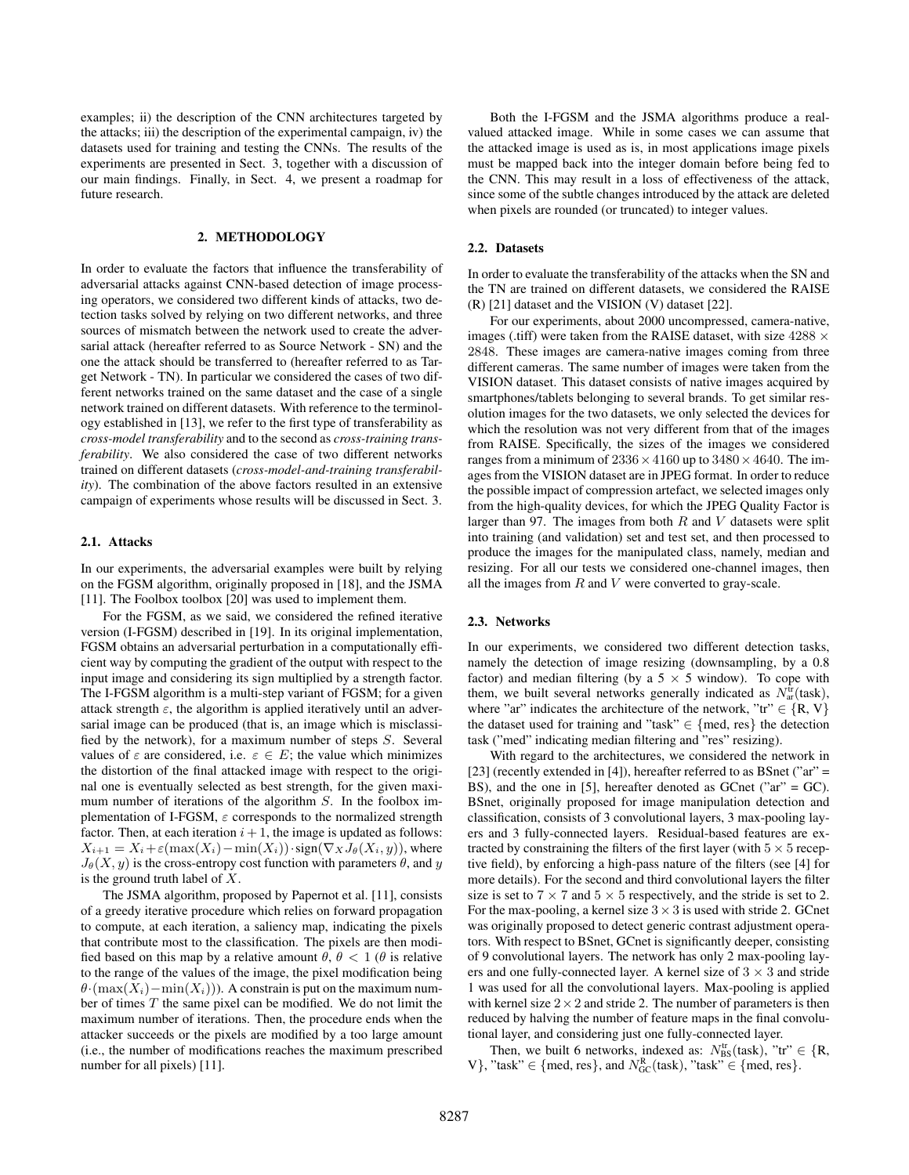examples; ii) the description of the CNN architectures targeted by the attacks; iii) the description of the experimental campaign, iv) the datasets used for training and testing the CNNs. The results of the experiments are presented in Sect. 3, together with a discussion of our main findings. Finally, in Sect. 4, we present a roadmap for future research.

## 2. METHODOLOGY

In order to evaluate the factors that influence the transferability of adversarial attacks against CNN-based detection of image processing operators, we considered two different kinds of attacks, two detection tasks solved by relying on two different networks, and three sources of mismatch between the network used to create the adversarial attack (hereafter referred to as Source Network - SN) and the one the attack should be transferred to (hereafter referred to as Target Network - TN). In particular we considered the cases of two different networks trained on the same dataset and the case of a single network trained on different datasets. With reference to the terminology established in [13], we refer to the first type of transferability as *cross-model transferability* and to the second as *cross-training transferability*. We also considered the case of two different networks trained on different datasets (*cross-model-and-training transferability*). The combination of the above factors resulted in an extensive campaign of experiments whose results will be discussed in Sect. 3.

#### 2.1. Attacks

In our experiments, the adversarial examples were built by relying on the FGSM algorithm, originally proposed in [18], and the JSMA [11]. The Foolbox toolbox [20] was used to implement them.

For the FGSM, as we said, we considered the refined iterative version (I-FGSM) described in [19]. In its original implementation, FGSM obtains an adversarial perturbation in a computationally efficient way by computing the gradient of the output with respect to the input image and considering its sign multiplied by a strength factor. The I-FGSM algorithm is a multi-step variant of FGSM; for a given attack strength  $\varepsilon$ , the algorithm is applied iteratively until an adversarial image can be produced (that is, an image which is misclassified by the network), for a maximum number of steps S. Several values of  $\varepsilon$  are considered, i.e.  $\varepsilon \in E$ ; the value which minimizes the distortion of the final attacked image with respect to the original one is eventually selected as best strength, for the given maximum number of iterations of the algorithm S. In the foolbox implementation of I-FGSM,  $\varepsilon$  corresponds to the normalized strength factor. Then, at each iteration  $i + 1$ , the image is updated as follows:  $X_{i+1} = X_i + \varepsilon(\max(X_i) - \min(X_i)) \cdot \text{sign}(\nabla_X J_\theta(X_i, y))$ , where  $J_{\theta}(X, y)$  is the cross-entropy cost function with parameters  $\theta$ , and y is the ground truth label of X.

The JSMA algorithm, proposed by Papernot et al. [11], consists of a greedy iterative procedure which relies on forward propagation to compute, at each iteration, a saliency map, indicating the pixels that contribute most to the classification. The pixels are then modified based on this map by a relative amount  $\theta$ ,  $\theta$  < 1 ( $\theta$  is relative to the range of the values of the image, the pixel modification being  $\theta$ ·(max(X<sub>i</sub>)−min(X<sub>i</sub>))). A constrain is put on the maximum number of times T the same pixel can be modified. We do not limit the maximum number of iterations. Then, the procedure ends when the attacker succeeds or the pixels are modified by a too large amount (i.e., the number of modifications reaches the maximum prescribed number for all pixels) [11].

Both the I-FGSM and the JSMA algorithms produce a realvalued attacked image. While in some cases we can assume that the attacked image is used as is, in most applications image pixels must be mapped back into the integer domain before being fed to the CNN. This may result in a loss of effectiveness of the attack, since some of the subtle changes introduced by the attack are deleted when pixels are rounded (or truncated) to integer values.

#### 2.2. Datasets

In order to evaluate the transferability of the attacks when the SN and the TN are trained on different datasets, we considered the RAISE (R) [21] dataset and the VISION (V) dataset [22].

For our experiments, about 2000 uncompressed, camera-native, images (.tiff) were taken from the RAISE dataset, with size  $4288 \times$ 2848. These images are camera-native images coming from three different cameras. The same number of images were taken from the VISION dataset. This dataset consists of native images acquired by smartphones/tablets belonging to several brands. To get similar resolution images for the two datasets, we only selected the devices for which the resolution was not very different from that of the images from RAISE. Specifically, the sizes of the images we considered ranges from a minimum of  $2336 \times 4160$  up to  $3480 \times 4640$ . The images from the VISION dataset are in JPEG format. In order to reduce the possible impact of compression artefact, we selected images only from the high-quality devices, for which the JPEG Quality Factor is larger than 97. The images from both  $R$  and  $V$  datasets were split into training (and validation) set and test set, and then processed to produce the images for the manipulated class, namely, median and resizing. For all our tests we considered one-channel images, then all the images from  $R$  and  $V$  were converted to gray-scale.

#### 2.3. Networks

In our experiments, we considered two different detection tasks, namely the detection of image resizing (downsampling, by a 0.8 factor) and median filtering (by a  $5 \times 5$  window). To cope with them, we built several networks generally indicated as  $N_{ar}^{tr}(task)$ , where "ar" indicates the architecture of the network, "tr"  $\in \{R, V\}$ the dataset used for training and "task"  $\in$  {med, res} the detection task ("med" indicating median filtering and "res" resizing).

With regard to the architectures, we considered the network in [23] (recently extended in [4]), hereafter referred to as BSnet ("ar" = BS), and the one in [5], hereafter denoted as GCnet ("ar" = GC). BSnet, originally proposed for image manipulation detection and classification, consists of 3 convolutional layers, 3 max-pooling layers and 3 fully-connected layers. Residual-based features are extracted by constraining the filters of the first layer (with  $5 \times 5$  receptive field), by enforcing a high-pass nature of the filters (see [4] for more details). For the second and third convolutional layers the filter size is set to  $7 \times 7$  and  $5 \times 5$  respectively, and the stride is set to 2. For the max-pooling, a kernel size  $3 \times 3$  is used with stride 2. GCnet was originally proposed to detect generic contrast adjustment operators. With respect to BSnet, GCnet is significantly deeper, consisting of 9 convolutional layers. The network has only 2 max-pooling layers and one fully-connected layer. A kernel size of  $3 \times 3$  and stride 1 was used for all the convolutional layers. Max-pooling is applied with kernel size  $2 \times 2$  and stride 2. The number of parameters is then reduced by halving the number of feature maps in the final convolutional layer, and considering just one fully-connected layer.

Then, we built 6 networks, indexed as:  $N_{\text{BS}}^{\text{tr}}(\text{task})$ , "tr"  $\in \{R, R\}$ V}, "task"  $\in$  {med, res}, and  $N_{GC}^R$ (task), "task"  $\in$  {med, res}.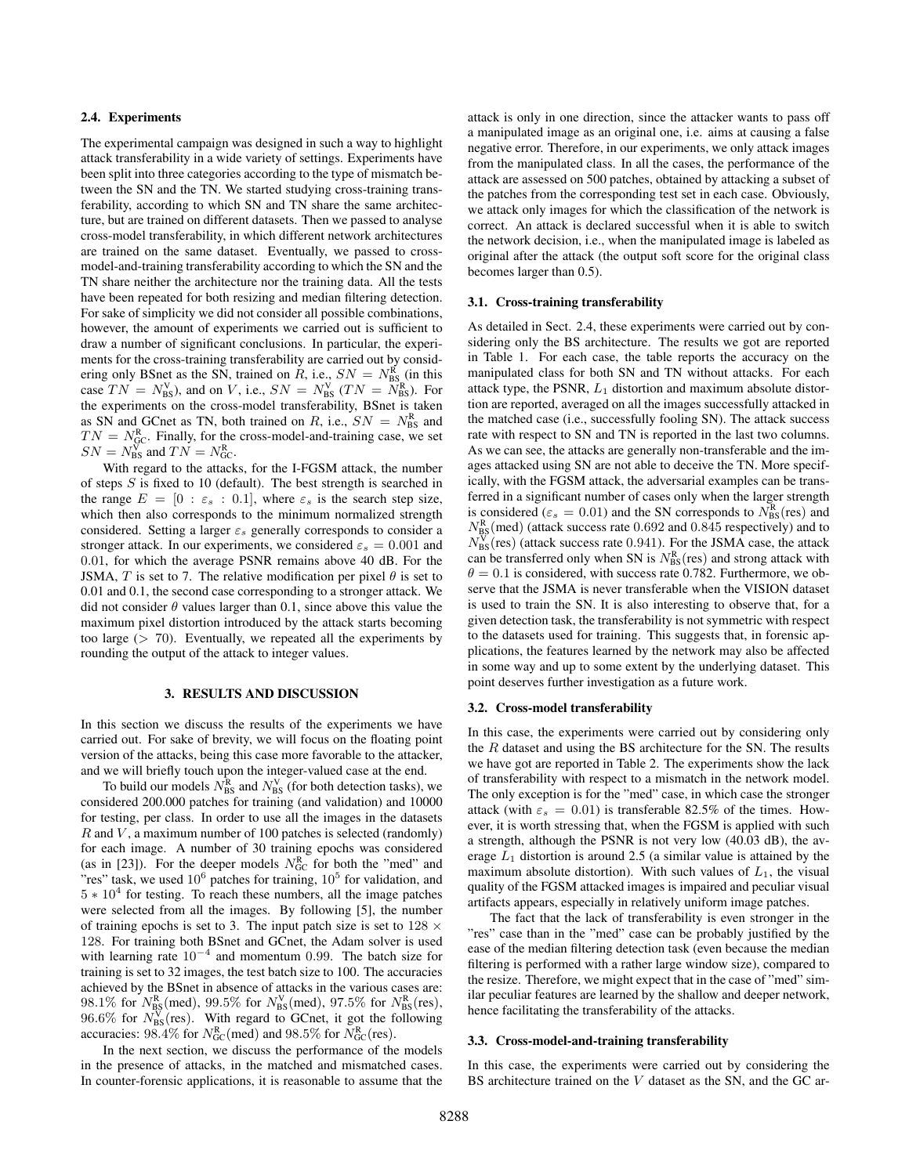## 2.4. Experiments

The experimental campaign was designed in such a way to highlight attack transferability in a wide variety of settings. Experiments have been split into three categories according to the type of mismatch between the SN and the TN. We started studying cross-training transferability, according to which SN and TN share the same architecture, but are trained on different datasets. Then we passed to analyse cross-model transferability, in which different network architectures are trained on the same dataset. Eventually, we passed to crossmodel-and-training transferability according to which the SN and the TN share neither the architecture nor the training data. All the tests have been repeated for both resizing and median filtering detection. For sake of simplicity we did not consider all possible combinations, however, the amount of experiments we carried out is sufficient to draw a number of significant conclusions. In particular, the experiments for the cross-training transferability are carried out by considering only BSnet as the SN, trained on R, i.e.,  $SN = N_{\text{BS}}^{\text{R}}$  (in this case  $TN = N_{\text{BS}}^{\text{V}}$ , and on V, i.e.,  $SN = N_{\text{BS}}^{\text{V}}$  ( $TN = N_{\text{BS}}^{\text{R}}$ ). For the experiments on the cross-model transferability, BSnet is taken as SN and GCnet as TN, both trained on R, i.e.,  $SN = N_{BS}^R$  and  $TN = N_{\text{GC}}^{\text{R}}$ . Finally, for the cross-model-and-training case, we set  $SN = N_{\text{BS}}^{\text{V}}$  and  $TN = N_{\text{GC}}^{\text{R}}$ .

With regard to the attacks, for the I-FGSM attack, the number of steps  $S$  is fixed to 10 (default). The best strength is searched in the range  $E = [0 : \varepsilon_s : 0.1]$ , where  $\varepsilon_s$  is the search step size, which then also corresponds to the minimum normalized strength considered. Setting a larger  $\varepsilon_s$  generally corresponds to consider a stronger attack. In our experiments, we considered  $\varepsilon_s = 0.001$  and 0.01, for which the average PSNR remains above 40 dB. For the JSMA, T is set to 7. The relative modification per pixel  $\theta$  is set to 0.01 and 0.1, the second case corresponding to a stronger attack. We did not consider  $\theta$  values larger than 0.1, since above this value the maximum pixel distortion introduced by the attack starts becoming too large  $(> 70)$ . Eventually, we repeated all the experiments by rounding the output of the attack to integer values.

# 3. RESULTS AND DISCUSSION

In this section we discuss the results of the experiments we have carried out. For sake of brevity, we will focus on the floating point version of the attacks, being this case more favorable to the attacker, and we will briefly touch upon the integer-valued case at the end.

To build our models  $N_{\text{BS}}^{\text{R}}$  and  $N_{\text{BS}}^{\text{V}}$  (for both detection tasks), we considered 200.000 patches for training (and validation) and 10000 for testing, per class. In order to use all the images in the datasets  $R$  and  $V$ , a maximum number of 100 patches is selected (randomly) for each image. A number of 30 training epochs was considered (as in [23]). For the deeper models  $N_{GC}^R$  for both the "med" and "res" task, we used  $10^6$  patches for training,  $10^5$  for validation, and  $5 * 10<sup>4</sup>$  for testing. To reach these numbers, all the image patches were selected from all the images. By following [5], the number of training epochs is set to 3. The input patch size is set to  $128 \times$ 128. For training both BSnet and GCnet, the Adam solver is used with learning rate  $10^{-4}$  and momentum 0.99. The batch size for training is set to 32 images, the test batch size to 100. The accuracies achieved by the BSnet in absence of attacks in the various cases are: 98.1% for  $N_{\rm BS}^{\rm R}$  (med), 99.5% for  $N_{\rm BS}^{\rm V}$  (med), 97.5% for  $N_{\rm BS}^{\rm R}$  (res),  $96.6\%$  for  $N_{BS}^V$  (res). With regard to GCnet, it got the following accuracies:  $98.4\%$  for  $N_{GC}^R$  (med) and  $98.5\%$  for  $N_{GC}^R$  (res).

In the next section, we discuss the performance of the models in the presence of attacks, in the matched and mismatched cases. In counter-forensic applications, it is reasonable to assume that the

attack is only in one direction, since the attacker wants to pass off a manipulated image as an original one, i.e. aims at causing a false negative error. Therefore, in our experiments, we only attack images from the manipulated class. In all the cases, the performance of the attack are assessed on 500 patches, obtained by attacking a subset of the patches from the corresponding test set in each case. Obviously, we attack only images for which the classification of the network is correct. An attack is declared successful when it is able to switch the network decision, i.e., when the manipulated image is labeled as original after the attack (the output soft score for the original class becomes larger than 0.5).

#### 3.1. Cross-training transferability

As detailed in Sect. 2.4, these experiments were carried out by considering only the BS architecture. The results we got are reported in Table 1. For each case, the table reports the accuracy on the manipulated class for both SN and TN without attacks. For each attack type, the PSNR,  $L_1$  distortion and maximum absolute distortion are reported, averaged on all the images successfully attacked in the matched case (i.e., successfully fooling SN). The attack success rate with respect to SN and TN is reported in the last two columns. As we can see, the attacks are generally non-transferable and the images attacked using SN are not able to deceive the TN. More specifically, with the FGSM attack, the adversarial examples can be transferred in a significant number of cases only when the larger strength is considered ( $\varepsilon_s = 0.01$ ) and the SN corresponds to  $N_{\rm BS}^{\rm R}$  (res) and  $N_{\rm BS}^{\rm R}$  (med) (attack success rate 0.692 and 0.845 respectively) and to  $N_{\rm BS}^{\rm V}$ (res) (attack success rate 0.941). For the JSMA case, the attack can be transferred only when SN is  $N_{\rm BS}^{\rm R}$  (res) and strong attack with  $\theta = 0.1$  is considered, with success rate 0.782. Furthermore, we observe that the JSMA is never transferable when the VISION dataset is used to train the SN. It is also interesting to observe that, for a given detection task, the transferability is not symmetric with respect to the datasets used for training. This suggests that, in forensic applications, the features learned by the network may also be affected in some way and up to some extent by the underlying dataset. This point deserves further investigation as a future work.

#### 3.2. Cross-model transferability

In this case, the experiments were carried out by considering only the  $R$  dataset and using the BS architecture for the SN. The results we have got are reported in Table 2. The experiments show the lack of transferability with respect to a mismatch in the network model. The only exception is for the "med" case, in which case the stronger attack (with  $\varepsilon_s = 0.01$ ) is transferable 82.5% of the times. However, it is worth stressing that, when the FGSM is applied with such a strength, although the PSNR is not very low (40.03 dB), the average  $L_1$  distortion is around 2.5 (a similar value is attained by the maximum absolute distortion). With such values of  $L_1$ , the visual quality of the FGSM attacked images is impaired and peculiar visual artifacts appears, especially in relatively uniform image patches.

The fact that the lack of transferability is even stronger in the "res" case than in the "med" case can be probably justified by the ease of the median filtering detection task (even because the median filtering is performed with a rather large window size), compared to the resize. Therefore, we might expect that in the case of "med" similar peculiar features are learned by the shallow and deeper network, hence facilitating the transferability of the attacks.

### 3.3. Cross-model-and-training transferability

In this case, the experiments were carried out by considering the BS architecture trained on the V dataset as the SN, and the GC ar-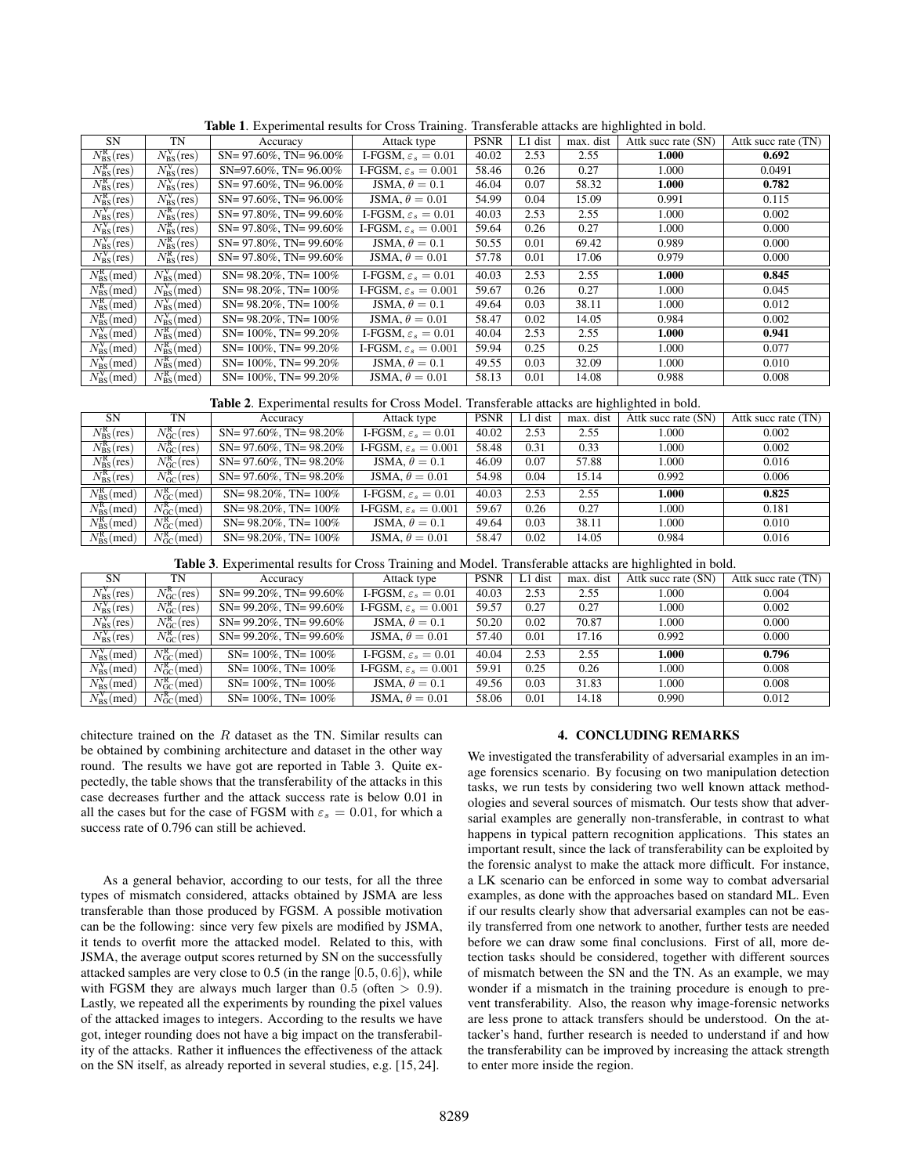| <b>SN</b>                         | TN                              | Accuracy                        | Attack type                     | <b>PSNR</b> | L1 dist | max. dist | Attk succ rate (SN) | Attk succ rate (TN) |
|-----------------------------------|---------------------------------|---------------------------------|---------------------------------|-------------|---------|-----------|---------------------|---------------------|
| $N_{\rm BS}^{\rm R}({\rm res})$   | $N_{\rm RS}^{\rm V}$ (res)      | $SN = 97.60\%$ , $TN = 96.00\%$ | I-FGSM, $\varepsilon_s = 0.01$  | 40.02       | 2.53    | 2.55      | 1.000               | 0.692               |
| $N_{\rm BS}^{\rm R}({\rm res})$   | $N_{\rm BS}^{\rm V}({\rm res})$ | $SN=97.60\%$ , TN= 96.00%       | I-FGSM, $\varepsilon_s = 0.001$ | 58.46       | 0.26    | 0.27      | 1.000               | 0.0491              |
| $N_{\rm BS}^{\rm R}({\rm res})$   | $N_{\rm BS}^{\rm V}({\rm res})$ | $SN = 97.60\%$ , $TN = 96.00\%$ | JSMA, $\theta = 0.1$            | 46.04       | 0.07    | 58.32     | 1.000               | 0.782               |
| $N_{\rm BS}^{\rm R}({\rm res})$   | $N_{\rm RS}^{\rm V}$ (res)      | $SN = 97.60\%$ , $TN = 96.00\%$ | JSMA, $\theta = 0.01$           | 54.99       | 0.04    | 15.09     | 0.991               | 0.115               |
| $N_{\rm BS}^{\rm V}({\rm res})$   | $N_{\rm RS}^{\rm R}({\rm res})$ | $SN = 97.80\%$ , $TN = 99.60\%$ | I-FGSM, $\varepsilon_s = 0.01$  | 40.03       | 2.53    | 2.55      | 1.000               | 0.002               |
| $N_{\rm BS}^{\rm V}({\rm res})$   | $N_{\rm BS}^{\rm R}({\rm res})$ | $SN = 97.80\%$ , $TN = 99.60\%$ | I-FGSM, $\varepsilon_s = 0.001$ | 59.64       | 0.26    | 0.27      | 1.000               | 0.000               |
| $N_{\rm BS}^{\rm V}({\rm res})$   | $N_{\rm BS}^{\rm R}({\rm res})$ | $SN = 97.80\%$ , $TN = 99.60\%$ | JSMA, $\theta = 0.1$            | 50.55       | 0.01    | 69.42     | 0.989               | 0.000               |
| $N_{\rm BS}^{\rm V}({\rm res})$   | $N_{\rm BS}^{\rm R}({\rm res})$ | $SN = 97.80\%$ , $TN = 99.60\%$ | JSMA, $\theta = 0.01$           | 57.78       | 0.01    | 17.06     | 0.979               | 0.000               |
| $N_{\rm BS}^{\rm R}$ (med)        | $N_{\rm BS}^{\rm V}$ (med)      | $SN = 98.20\%$ , $TN = 100\%$   | I-FGSM, $\varepsilon_s = 0.01$  | 40.03       | 2.53    | 2.55      | 1.000               | 0.845               |
| $N_{\rm BS}^{\rm R}$ (med)        | $N_{\rm BS}^{\rm V}$ (med)      | $SN = 98.20\%$ , $TN = 100\%$   | I-FGSM, $\varepsilon_s = 0.001$ | 59.67       | 0.26    | 0.27      | 1.000               | 0.045               |
| $N_{\rm BS}^{\rm R}$ (med)        | $N_{\rm{BS}}^{\rm{V}}$ (med)    | $SN = 98.20\%$ , $TN = 100\%$   | JSMA, $\theta = 0.1$            | 49.64       | 0.03    | 38.11     | 1.000               | 0.012               |
| $N_{\rm BS}^{\rm R}$ (med)        | $N_{\rm BS}^{\rm V}$ (med)      | $SN = 98.20\%$ , $TN = 100\%$   | JSMA, $\theta = 0.01$           | 58.47       | 0.02    | 14.05     | 0.984               | 0.002               |
| $N_{\rm BS}^{\rm V}$ (med)        | $N_{\rm RS}^{\rm R}$ (med)      | $SN = 100\%$ . TN= 99.20%       | I-FGSM, $\varepsilon_s = 0.01$  | 40.04       | 2.53    | 2.55      | 1.000               | 0.941               |
| $N_{\rm BS}^{\rm V}$ (med)        | $N_{\rm RS}^{\rm R}$ (med)      | $SN = 100\%$ , TN= 99.20%       | I-FGSM, $\varepsilon_s = 0.001$ | 59.94       | 0.25    | 0.25      | 1.000               | 0.077               |
| $\overline{N_{BS}^{\rm V}}$ (med) | $N_{\rm BS}^{\rm R}$ (med)      | $SN = 100\%$ , TN= 99.20%       | JSMA, $\theta = 0.1$            | 49.55       | 0.03    | 32.09     | 1.000               | 0.010               |
| $N_{\rm BS}^{\rm V}$ (med)        | $N_{\rm BS}^{\rm R}$ (med)      | $SN = 100\%$ . TN= 99.20%       | JSMA, $\theta = 0.01$           | 58.13       | 0.01    | 14.08     | 0.988               | 0.008               |

Table 1. Experimental results for Cross Training. Transferable attacks are highlighted in bold.

Table 2. Experimental results for Cross Model. Transferable attacks are highlighted in bold.

| <b>SN</b>                       | TN                              | Accuracy                        | Attack type                     | <b>PSNR</b> | $L1$ dist | max. dist | Attk succ rate (SN) | Attk succ rate (TN) |
|---------------------------------|---------------------------------|---------------------------------|---------------------------------|-------------|-----------|-----------|---------------------|---------------------|
| $N_{\rm BS}^{\rm R}({\rm res})$ | $N_{\rm GC}^{\rm R}({\rm res})$ | $SN = 97.60\%$ , $TN = 98.20\%$ | I-FGSM, $\varepsilon_s = 0.01$  | 40.02       | 2.53      | 2.55      | 1.000               | 0.002               |
| $N_{\rm RS}^{\rm R}({\rm res})$ | $N_{\rm GC}^{\rm R}({\rm res})$ | $SN = 97.60\%$ , $TN = 98.20\%$ | I-FGSM, $\varepsilon_s = 0.001$ | 58.48       | 0.31      | 0.33      | 1.000               | 0.002               |
| $N_{\rm RS}^{\rm R}({\rm res})$ | $N_{\rm GC}^{\rm R}({\rm res})$ | $SN = 97.60\%$ , $TN = 98.20\%$ | JSMA, $\theta = 0.1$            | 46.09       | 0.07      | 57.88     | 1.000               | 0.016               |
| $N_{\rm BS}^{\rm R}({\rm res})$ | $N_{\rm GC}^{\rm R}({\rm res})$ | $SN = 97.60\%$ , $TN = 98.20\%$ | JSMA, $\theta = 0.01$           | 54.98       | 0.04      | 15.14     | 0.992               | 0.006               |
| $N_{\rm BS}^{\rm R}$ (med)      | $N_{\rm GC}^{\rm R}$ (med)      | $SN = 98.20\%$ , $TN = 100\%$   | I-FGSM, $\varepsilon_s = 0.01$  | 40.03       | 2.53      | 2.55      | 1.000               | 0.825               |
| $N_{\rm BS}^{\rm R}$ (med)      | $N_{\rm GC}^{\rm R}$ (med)      | $SN = 98.20\%$ , $TN = 100\%$   | I-FGSM, $\varepsilon_s = 0.001$ | 59.67       | 0.26      | 0.27      | 1.000               | 0.181               |
| $N_{\rm BS}^{\rm R}$ (med)      | $N_{\rm GC}^{\rm R}$ (med)      | $SN = 98.20\%$ , $TN = 100\%$   | JSMA, $\theta = 0.1$            | 49.64       | 0.03      | 38.11     | 1.000               | 0.010               |
| $N_{\rm RS}^{\rm R}$ (med)      | $N_{\rm GC}^{\rm R}$ (med)      | $SN = 98.20\%$ , $TN = 100\%$   | JSMA, $\theta = 0.01$           | 58.47       | 0.02      | 14.05     | 0.984               | 0.016               |

Table 3. Experimental results for Cross Training and Model. Transferable attacks are highlighted in bold.

| <b>SN</b>                       | TN                              | Accuracy                        | Attack type                     | <b>PSNR</b> | $L1$ dist | max. dist | Attk succ rate (SN) | Attk succ rate (TN) |
|---------------------------------|---------------------------------|---------------------------------|---------------------------------|-------------|-----------|-----------|---------------------|---------------------|
| $N_{\rm BS}^{\rm V}({\rm res})$ | $N_{\rm GC}^{\rm R}({\rm res})$ | $SN = 99.20\%$ , $TN = 99.60\%$ | I-FGSM, $\varepsilon_s = 0.01$  | 40.03       | 2.53      | 2.55      | 1.000               | 0.004               |
| $N_{\rm BS}^{\rm V}({\rm res})$ | $N_{\rm GC}^{\rm R}({\rm res})$ | $SN = 99.20\%$ , $TN = 99.60\%$ | I-FGSM, $\varepsilon_s = 0.001$ | 59.57       | 0.27      | 0.27      | 1.000               | 0.002               |
| $N_{\rm BS}^{\rm V}({\rm res})$ | $N_{\rm GC}^{\rm R}({\rm res})$ | $SN = 99.20\%$ , $TN = 99.60\%$ | JSMA, $\theta = 0.1$            | 50.20       | 0.02      | 70.87     | 1.000               | 0.000               |
| $N_{\rm BS}^{\rm V}({\rm res})$ | $N_{\rm GC}^{\rm R}({\rm res})$ | $SN = 99.20\%$ , $TN = 99.60\%$ | JSMA, $\theta = 0.01$           | 57.40       | 0.01      | 17.16     | 0.992               | 0.000               |
| $N_{\rm BS}^{\rm V}$ (med)      | $N_{\rm GC}^{\rm R}$ (med)      | $SN = 100\%$ , $TN = 100\%$     | I-FGSM, $\varepsilon_s = 0.01$  | 40.04       | 2.53      | 2.55      | 1.000               | 0.796               |
| $N_{\rm RS}^{\rm V}$ (med)      | $N_{\rm GC}^{\rm R}$ (med)      | $SN = 100\%$ , $TN = 100\%$     | I-FGSM, $\varepsilon_s = 0.001$ | 59.91       | 0.25      | 0.26      | 1.000               | 0.008               |
| $N_{\rm RS}^{\rm V}$ (med)      | $N_{\rm GC}^{\rm R}$ (med)      | $SN = 100\%$ , $TN = 100\%$     | JSMA, $\theta = 0.1$            | 49.56       | 0.03      | 31.83     | 1.000               | 0.008               |
| $N_{\rm RS}^{\rm V}$ (med)      | $N_{\rm GC}^{\rm R}$ (med)      | $SN = 100\%$ , $TN = 100\%$     | JSMA, $\theta = 0.01$           | 58.06       | 0.01      | 14.18     | 0.990               | 0.012               |

chitecture trained on the  $R$  dataset as the TN. Similar results can be obtained by combining architecture and dataset in the other way round. The results we have got are reported in Table 3. Quite expectedly, the table shows that the transferability of the attacks in this case decreases further and the attack success rate is below 0.01 in all the cases but for the case of FGSM with  $\varepsilon_s = 0.01$ , for which a success rate of 0.796 can still be achieved.

As a general behavior, according to our tests, for all the three types of mismatch considered, attacks obtained by JSMA are less transferable than those produced by FGSM. A possible motivation can be the following: since very few pixels are modified by JSMA, it tends to overfit more the attacked model. Related to this, with JSMA, the average output scores returned by SN on the successfully attacked samples are very close to  $0.5$  (in the range  $[0.5, 0.6]$ ), while with FGSM they are always much larger than  $0.5$  (often  $> 0.9$ ). Lastly, we repeated all the experiments by rounding the pixel values of the attacked images to integers. According to the results we have got, integer rounding does not have a big impact on the transferability of the attacks. Rather it influences the effectiveness of the attack on the SN itself, as already reported in several studies, e.g. [15, 24].

## 4. CONCLUDING REMARKS

We investigated the transferability of adversarial examples in an image forensics scenario. By focusing on two manipulation detection tasks, we run tests by considering two well known attack methodologies and several sources of mismatch. Our tests show that adversarial examples are generally non-transferable, in contrast to what happens in typical pattern recognition applications. This states an important result, since the lack of transferability can be exploited by the forensic analyst to make the attack more difficult. For instance, a LK scenario can be enforced in some way to combat adversarial examples, as done with the approaches based on standard ML. Even if our results clearly show that adversarial examples can not be easily transferred from one network to another, further tests are needed before we can draw some final conclusions. First of all, more detection tasks should be considered, together with different sources of mismatch between the SN and the TN. As an example, we may wonder if a mismatch in the training procedure is enough to prevent transferability. Also, the reason why image-forensic networks are less prone to attack transfers should be understood. On the attacker's hand, further research is needed to understand if and how the transferability can be improved by increasing the attack strength to enter more inside the region.